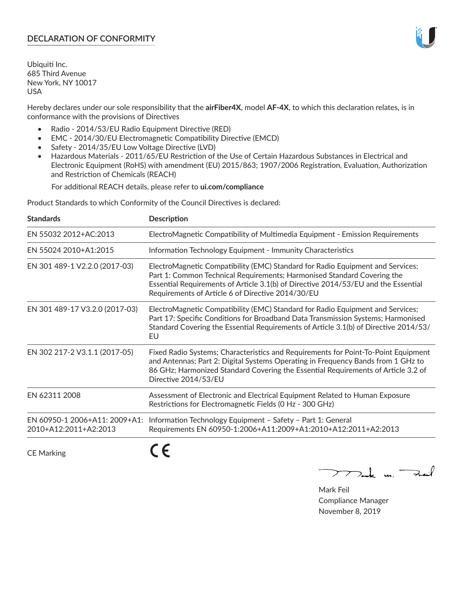### **DECLARATION OF CONFORMITY**

Ubiquiti Inc. 685 Third Avenue New York, NY 10017 USA

Hereby declares under our sole responsibility that the **airFiber4X**, model **AF-4X**, to which this declaration relates, is in conformance with the provisions of Directives

- Radio 2014/53/EU Radio Equipment Directive (RED)
- EMC 2014/30/EU Electromagnetic Compatibility Directive (EMCD)
- Safety 2014/35/EU Low Voltage Directive (LVD)
- Hazardous Materials 2011/65/EU Restriction of the Use of Certain Hazardous Substances in Electrical and Electronic Equipment (RoHS) with amendment (EU) 2015/863; 1907/2006 Registration, Evaluation, Authorization and Restriction of Chemicals (REACH)

For additional REACH details, please refer to **ui.com/compliance**

Product Standards to which Conformity of the Council Directives is declared:

| <b>Standards</b>                                       | <b>Description</b>                                                                                                                                                                                                                                                                                   |
|--------------------------------------------------------|------------------------------------------------------------------------------------------------------------------------------------------------------------------------------------------------------------------------------------------------------------------------------------------------------|
| EN 55032 2012+AC:2013                                  | ElectroMagnetic Compatibility of Multimedia Equipment - Emission Requirements                                                                                                                                                                                                                        |
| EN 55024 2010+A1:2015                                  | Information Technology Equipment - Immunity Characteristics                                                                                                                                                                                                                                          |
| EN 301 489-1 V2.2.0 (2017-03)                          | ElectroMagnetic Compatibility (EMC) Standard for Radio Equipment and Services;<br>Part 1: Common Technical Requirements; Harmonised Standard Covering the<br>Essential Requirements of Article 3.1(b) of Directive 2014/53/EU and the Essential<br>Requirements of Article 6 of Directive 2014/30/EU |
| EN 301 489-17 V3.2.0 (2017-03)                         | ElectroMagnetic Compatibility (EMC) Standard for Radio Equipment and Services;<br>Part 17: Specific Conditions for Broadband Data Transmission Systems; Harmonised<br>Standard Covering the Essential Requirements of Article 3.1(b) of Directive 2014/53/<br>EU                                     |
| EN 302 217-2 V3.1.1 (2017-05)                          | Fixed Radio Systems; Characteristics and Requirements for Point-To-Point Equipment<br>and Antennas; Part 2: Digital Systems Operating in Frequency Bands from 1 GHz to<br>86 GHz; Harmonized Standard Covering the Essential Requirements of Article 3.2 of<br>Directive 2014/53/EU                  |
| EN 62311 2008                                          | Assessment of Electronic and Electrical Equipment Related to Human Exposure<br>Restrictions for Electromagnetic Fields (0 Hz - 300 GHz)                                                                                                                                                              |
| EN 60950-1 2006+A11: 2009+A1:<br>2010+A12:2011+A2:2013 | Information Technology Equipment - Safety - Part 1: General<br>Requirements EN 60950-1:2006+A11:2009+A1:2010+A12:2011+A2:2013                                                                                                                                                                        |
|                                                        |                                                                                                                                                                                                                                                                                                      |

CE Marking

くと

Mak m. Fail

Mark Feil Compliance Manager November 8, 2019

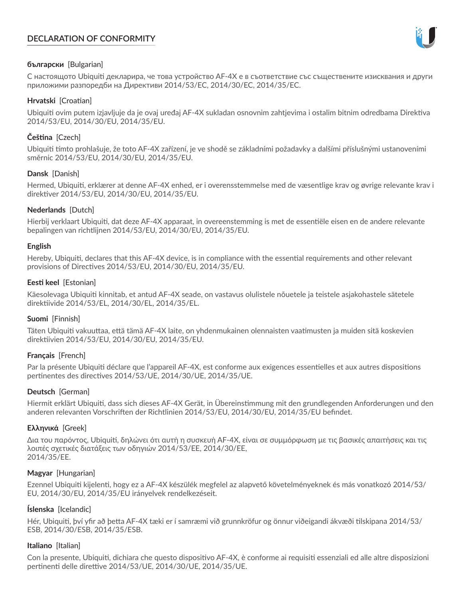# **DECLARATION OF CONFORMITY**



#### **български** [Bulgarian]

С настоящото Ubiquiti декларира, че това устройство AF-4X е в съответствие със съществените изисквания и други приложими разпоредби на Директиви 2014/53/EC, 2014/30/ЕС, 2014/35/ЕС.

#### **Hrvatski** [Croatian]

Ubiquiti ovim putem izjavljuje da je ovaj uređaj AF-4X sukladan osnovnim zahtjevima i ostalim bitnim odredbama Direktiva 2014/53/EU, 2014/30/EU, 2014/35/EU.

## **Čeština** [Czech]

Ubiquiti tímto prohlašuje, že toto AF-4X zařízení, je ve shodě se základními požadavky a dalšími příslušnými ustanoveními směrnic 2014/53/EU, 2014/30/EU, 2014/35/EU.

### **Dansk** [Danish]

Hermed, Ubiquiti, erklærer at denne AF-4X enhed, er i overensstemmelse med de væsentlige krav og øvrige relevante krav i direktiver 2014/53/EU, 2014/30/EU, 2014/35/EU.

### **Nederlands** [Dutch]

Hierbij verklaart Ubiquiti, dat deze AF-4X apparaat, in overeenstemming is met de essentiële eisen en de andere relevante bepalingen van richtlijnen 2014/53/EU, 2014/30/EU, 2014/35/EU.

#### **English**

Hereby, Ubiquiti, declares that this AF-4X device, is in compliance with the essential requirements and other relevant provisions of Directives 2014/53/EU, 2014/30/EU, 2014/35/EU.

### **Eesti keel** [Estonian]

Käesolevaga Ubiquiti kinnitab, et antud AF-4X seade, on vastavus olulistele nõuetele ja teistele asjakohastele sätetele direktiivide 2014/53/EL, 2014/30/EL, 2014/35/EL.

## **Suomi** [Finnish]

Täten Ubiquiti vakuuttaa, että tämä AF-4X laite, on yhdenmukainen olennaisten vaatimusten ja muiden sitä koskevien direktiivien 2014/53/EU, 2014/30/EU, 2014/35/EU.

## **Français** [French]

Par la présente Ubiquiti déclare que l'appareil AF-4X, est conforme aux exigences essentielles et aux autres dispositions pertinentes des directives 2014/53/UE, 2014/30/UE, 2014/35/UE.

## **Deutsch** [German]

Hiermit erklärt Ubiquiti, dass sich dieses AF-4X Gerät, in Übereinstimmung mit den grundlegenden Anforderungen und den anderen relevanten Vorschriften der Richtlinien 2014/53/EU, 2014/30/EU, 2014/35/EU befindet.

#### **Ελληνικά** [Greek]

Δια του παρόντος, Ubiquiti, δηλώνει ότι αυτή η συσκευή AF-4X, είναι σε συμμόρφωση με τις βασικές απαιτήσεις και τις λοιπές σχετικές διατάξεις των οδηγιών 2014/53/EE, 2014/30/EE, 2014/35/EE.

#### **Magyar** [Hungarian]

Ezennel Ubiquiti kijelenti, hogy ez a AF-4X készülék megfelel az alapvető követelményeknek és más vonatkozó 2014/53/ EU, 2014/30/EU, 2014/35/EU irányelvek rendelkezéseit.

## **Íslenska** [Icelandic]

Hér, Ubiquiti, því yfir að þetta AF-4X tæki er í samræmi við grunnkröfur og önnur viðeigandi ákvæði tilskipana 2014/53/ ESB, 2014/30/ESB, 2014/35/ESB.

#### **Italiano** [Italian]

Con la presente, Ubiquiti, dichiara che questo dispositivo AF-4X, è conforme ai requisiti essenziali ed alle altre disposizioni pertinenti delle direttive 2014/53/UE, 2014/30/UE, 2014/35/UE.